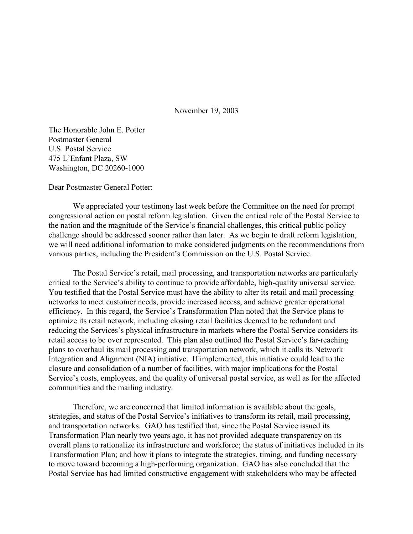November 19, 2003

The Honorable John E. Potter Postmaster General U.S. Postal Service 475 L'Enfant Plaza, SW Washington, DC 20260-1000

Dear Postmaster General Potter:

We appreciated your testimony last week before the Committee on the need for prompt congressional action on postal reform legislation. Given the critical role of the Postal Service to the nation and the magnitude of the Service's financial challenges, this critical public policy challenge should be addressed sooner rather than later. As we begin to draft reform legislation, we will need additional information to make considered judgments on the recommendations from various parties, including the President's Commission on the U.S. Postal Service.

The Postal Service's retail, mail processing, and transportation networks are particularly critical to the Service's ability to continue to provide affordable, high-quality universal service. You testified that the Postal Service must have the ability to alter its retail and mail processing networks to meet customer needs, provide increased access, and achieve greater operational efficiency. In this regard, the Service's Transformation Plan noted that the Service plans to optimize its retail network, including closing retail facilities deemed to be redundant and reducing the Services's physical infrastructure in markets where the Postal Service considers its retail access to be over represented. This plan also outlined the Postal Service's far-reaching plans to overhaul its mail processing and transportation network, which it calls its Network Integration and Alignment (NIA) initiative. If implemented, this initiative could lead to the closure and consolidation of a number of facilities, with major implications for the Postal Service's costs, employees, and the quality of universal postal service, as well as for the affected communities and the mailing industry.

Therefore, we are concerned that limited information is available about the goals, strategies, and status of the Postal Service's initiatives to transform its retail, mail processing, and transportation networks. GAO has testified that, since the Postal Service issued its Transformation Plan nearly two years ago, it has not provided adequate transparency on its overall plans to rationalize its infrastructure and workforce; the status of initiatives included in its Transformation Plan; and how it plans to integrate the strategies, timing, and funding necessary to move toward becoming a high-performing organization. GAO has also concluded that the Postal Service has had limited constructive engagement with stakeholders who may be affected